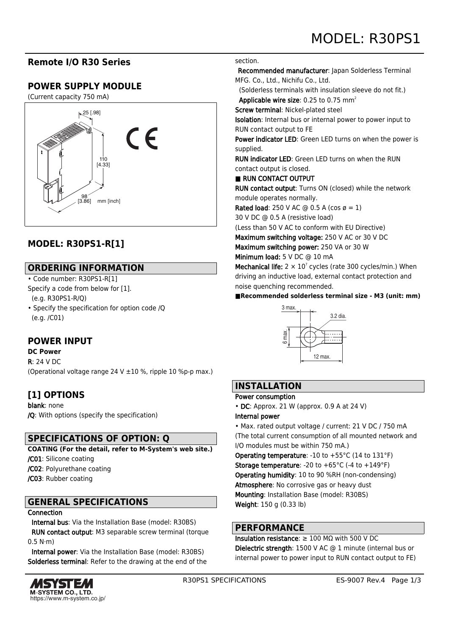## **Remote I/O R30 Series**

## **POWER SUPPLY MODULE**

(Current capacity 750 mA)



# **MODEL: R30PS1-R[1]**

### **ORDERING INFORMATION**

• Code number: R30PS1-R[1] Specify a code from below for [1].

(e.g. R30PS1-R/Q)

• Specify the specification for option code /Q (e.g. /C01)

## **POWER INPUT**

**DC Power**

R: 24 V DC (Operational voltage range 24 V ±10 %, ripple 10 %p-p max.)

# **[1] OPTIONS**

blank: none /Q: With options (specify the specification)

## **SPECIFICATIONS OF OPTION: Q**

**COATING (For the detail, refer to M-System's web site.)** /C01: Silicone coating /C02: Polyurethane coating /C03: Rubber coating

## **GENERAL SPECIFICATIONS**

#### **Connection**

 Internal bus: Via the Installation Base (model: R30BS) RUN contact output: M3 separable screw terminal (torque  $0.5$  N $\cdot$ m $)$ 

 Internal power: Via the Installation Base (model: R30BS) Solderless terminal: Refer to the drawing at the end of the



#### section.

 Recommended manufacturer: Japan Solderless Terminal MFG. Co., Ltd., Nichifu Co., Ltd.

 (Solderless terminals with insulation sleeve do not fit.) Applicable wire size:  $0.25$  to  $0.75$  mm<sup>2</sup>

Screw terminal: Nickel-plated steel

Isolation: Internal bus or internal power to power input to RUN contact output to FE

Power indicator LED: Green LED turns on when the power is supplied.

RUN indicator LED: Green LED turns on when the RUN contact output is closed.

#### ■ RUN CONTACT OUTPUT

RUN contact output: Turns ON (closed) while the network module operates normally.

Rated load: 250 V AC  $\omega$  0.5 A (cos  $\varnothing$  = 1)

30 V DC @ 0.5 A (resistive load)

(Less than 50 V AC to conform with EU Directive)

Maximum switching voltage: 250 V AC or 30 V DC

Maximum switching power: 250 VA or 30 W

Minimum load: 5 V DC @ 10 mA

Mechanical life:  $2 \times 10^7$  cycles (rate 300 cycles/min.) When driving an inductive load, external contact protection and noise quenching recommended.

**■Recommended solderless terminal size - M3 (unit: mm)**



# **INSTALLATION**

#### Power consumption

• DC: Approx. 21 W (approx. 0.9 A at 24 V)

#### Internal power

• Max. rated output voltage / current: 21 V DC / 750 mA (The total current consumption of all mounted network and I/O modules must be within 750 mA.)

Operating temperature: -10 to +55°C (14 to 131°F) **Storage temperature:** -20 to  $+65^{\circ}$ C (-4 to  $+149^{\circ}$ F) Operating humidity: 10 to 90 %RH (non-condensing) Atmosphere: No corrosive gas or heavy dust Mounting: Installation Base (model: R30BS) Weight: 150 g (0.33 lb)

### **PERFORMANCE**

Insulation resistance: ≥ 100 MΩ with 500 V DC Dielectric strength: 1500 V AC @ 1 minute (internal bus or internal power to power input to RUN contact output to FE)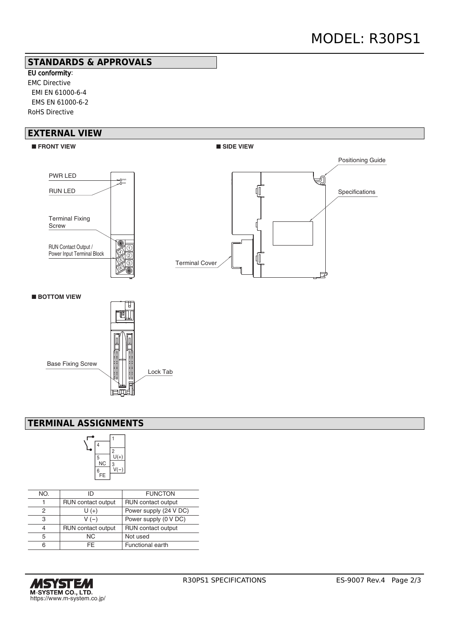### **STANDARDS & APPROVALS**

EU conformity: EMC Directive EMI EN 61000-6-4 EMS EN 61000-6-2 RoHS Directive

### **EXTERNAL VIEW**



## **TERMINAL ASSIGNMENTS**



| NO. | ID                 | <b>FUNCTON</b>            |
|-----|--------------------|---------------------------|
|     | RUN contact output | RUN contact output        |
| 2   | $U(+)$             | Power supply (24 V DC)    |
| З   | $V(-)$             | Power supply (0 V DC)     |
|     | RUN contact output | <b>RUN</b> contact output |
| 5   | NC.                | Not used                  |
|     | FF.                | Functional earth          |
|     |                    |                           |